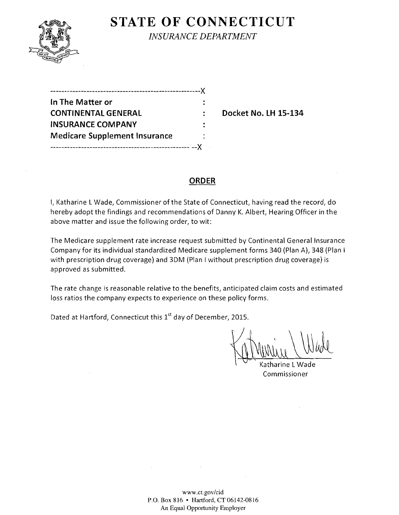

**STATE OF CONNECTICUT** *INSURANCE DEPARTMENT* 

| .---------------------------------X  |  |
|--------------------------------------|--|
| In The Matter or                     |  |
| <b>CONTINENTAL GENERAL</b>           |  |
| <b>INSURANCE COMPANY</b>             |  |
| <b>Medicare Supplement Insurance</b> |  |
|                                      |  |

**Docket No. LH 15-134** 

### **ORDER**

I, Katharine L Wade, Commissioner of the State of Connecticut, having read the record, do hereby adopt the findings and recommendations of Danny K. Albert, Hearing Officer in the above matter and issue the following order, to wit:

The Medicare supplement rate increase request submitted by Continental General Insurance Company for its individual standardized Medicare supplement forms 340 (Plan A), 348 (Plan I with prescription drug coverage) and 3DM (Plan I without prescription drug coverage) is approved as submitted.

The rate change is reasonable relative to the benefits, anticipated claim costs and estimated loss ratios the company expects to experience on these policy forms.

Dated at Hartford, Connecticut this 1<sup>st</sup> day of December, 2015.

Katharine LWade Commissioner

www.ct.gov/cid P.O. Box 816 • Hartford, CT 06142-0816 An Equal Opportunity Employer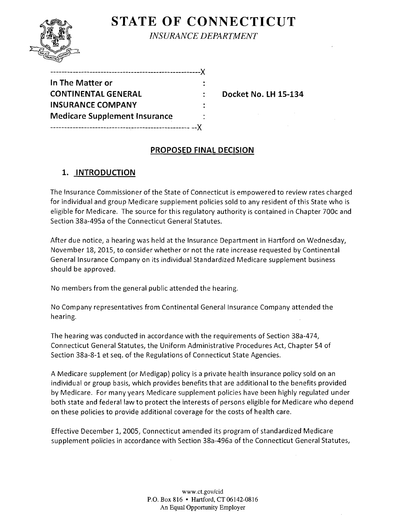# **STATE OF CONNECTICUT**



*INSURANCE DEPARTMENT* 

| In The Matter or                     |  |
|--------------------------------------|--|
| <b>CONTINENTAL GENERAL</b>           |  |
| <b>INSURANCE COMPANY</b>             |  |
| <b>Medicare Supplement Insurance</b> |  |
|                                      |  |

------------------------------------------------------)(

**Docket No. LH 15-134** 

## **PROPOSED FINAL DECISION**

## **1. INTRODUCTION**

The Insurance Commissioner of the State of Connecticut is empowered to review rates charged for individual and group Medicare supplement policies sold to any resident of this State who is eligible for Medicare. The source for this regulatory authority is contained in Chapter 700c and Section 38a-495a of the Connecticut General Statutes.

After due notice, a hearing was held at the Insurance Department in Hartford on Wednesday, November 18, 2015, to consider whether or not the rate increase requested by Continental General Insurance Company on its individual Standardized Medicare supplement business should be approved.

No members from the general public attended the hearing.

No Company representatives from Continental General Insurance Company attended the hearing.

The hearing was conducted in accordance with the requirements of Section 38a-474, Connecticut General Statutes, the Uniform Administrative Procedures Act, Chapter 54 of Section 38a-8-1 et seq. of the Regulations of Connecticut State Agencies.

A Medicare supplement (or Medigap) policy is a private health insurance policy sold on an individual or group basis, which provides benefits that are additional to the benefits provided by Medicare. For many years Medicare supplement policies have been highly regulated under both state and federal law to protect the interests of persons eligible for Medicare who depend on these policies to provide additional coverage for the costs of health care.

Effective December 1, 2005, Connecticut amended its program of standardized Medicare supplement policies in accordance with Section 38a-496a of the Connecticut General Statutes,

> www.ct.gov/cid P.O. Box 816 • Hartford, CT 06142-0816 An Equal Opportunity Employer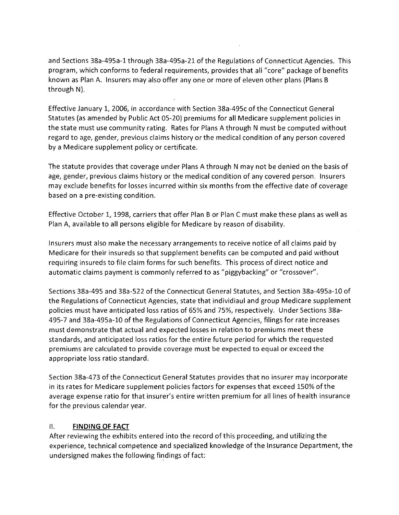and Sections 38a-495a-1 through 38a-495a-21 of the Regulations of Connecticut Agencies. This program, which conforms to federal requirements, provides that all "core" package of benefits known as Plan A. Insurers may also offer anyone or more of eleven other plans (Plans B through N).

Effective January 1, 2006, in accordance with Section 38a-495c of the Connecticut General Statutes (as amended by Public Act 05-20) premiums for all Medicare supplement policies in the state must use community rating. Rates for Plans A through N must be computed without regard to age, gender, previous claims history or the medical condition of any person covered by a Medicare supplement policy or certificate.

The statute provides that coverage under Plans A through N may not be denied on the basis of age, gender, previous claims history or the medical condition of any covered person. Insurers may exclude benefits for losses incurred within six months from the effective date of coverage based on a pre-existing condition.

Effective October 1, 1998, carriers that offer Plan B or Plan C must make these plans as well as Plan A, available to all persons eligible for Medicare by reason of disability.

Insurers must also make the necessary arrangements to receive notice of all claims paid by Medicare for their insureds so that supplement benefits can be computed and paid without requiring insureds to file claim forms for such benefits. This process of direct notice and automatic claims payment is commonly referred to as "piggybacking" or "crossover".

Sections 38a-495 and 38a-522 of the Connecticut General Statutes, and Section 38a-495a-10 of the Regulations of Connecticut Agencies, state that individiaul and group Medicare supplement policies must have anticipated loss ratios of 65% and 75%, respectively. Under Sections 38a-495-7 and 38a-495a-1O of the Regulations of Connecticut Agencies, filings for rate increases must demonstrate that actual and expected losses in relation to premiums meet these standards, and anticipated loss ratios for the entire future period for which the requested premiums are calculated to provide coverage must be expected to equal or exceed the appropriate loss ratio standard.

Section 38a-473 of the Connecticut General Statutes provides that no insurer may incorporate in its rates for Medicare supplement policies factors for expenses that exceed 150% of the average expense ratio for that insurer's entire written premium for all lines of health insurance for the previous calendar year.

#### II. **FINDING OF FACT**

After reviewing the exhibits entered into the record of this proceeding, and utilizing the experience, technical competence and specialized knowledge of the Insurance Department, the undersigned makes the following findings of fact: